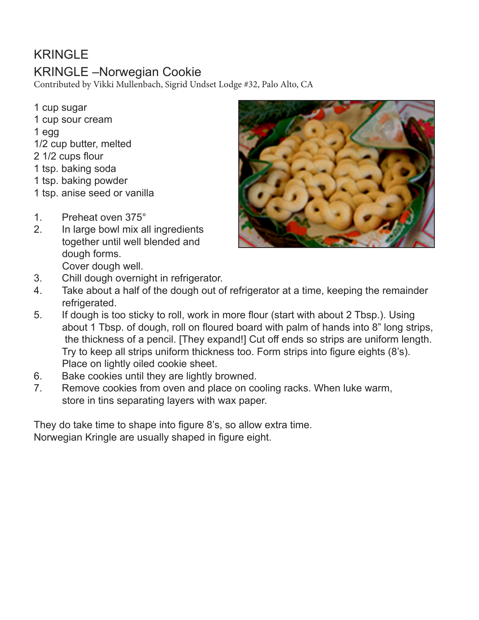# KRINGLE

# KRINGLE –Norwegian Cookie

Contributed by Vikki Mullenbach, Sigrid Undset Lodge #32, Palo Alto, CA

- 1 cup sugar 1 cup sour cream 1 egg 1/2 cup butter, melted 2 1/2 cups flour 1 tsp. baking soda 1 tsp. baking powder 1 tsp. anise seed or vanilla
- 1. Preheat oven 375°
- 2. In large bowl mix all ingredients together until well blended and dough forms. Cover dough well.
- 3. Chill dough overnight in refrigerator.
- 4. Take about a half of the dough out of refrigerator at a time, keeping the remainder refrigerated.
- 5. If dough is too sticky to roll, work in more flour (start with about 2 Tbsp.). Using about 1 Tbsp. of dough, roll on floured board with palm of hands into 8" long strips, the thickness of a pencil. [They expand!] Cut off ends so strips are uniform length. Try to keep all strips uniform thickness too. Form strips into figure eights (8's). Place on lightly oiled cookie sheet.
- 6. Bake cookies until they are lightly browned.
- 7. Remove cookies from oven and place on cooling racks. When luke warm, store in tins separating layers with wax paper.

They do take time to shape into figure 8's, so allow extra time. Norwegian Kringle are usually shaped in figure eight.

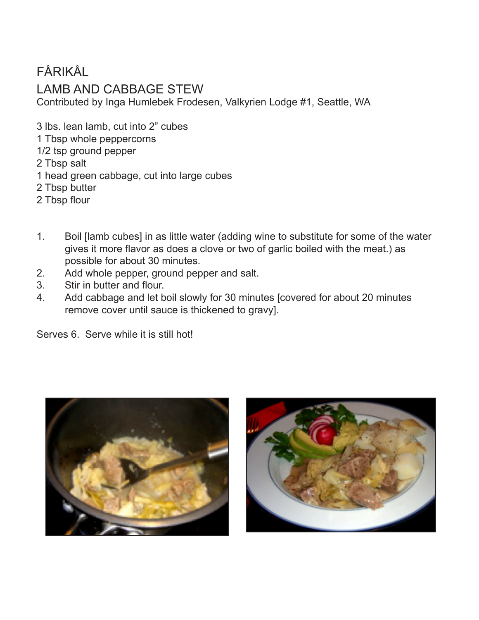## FÅRIKÅL

#### LAMB AND CABBAGE STEW

Contributed by Inga Humlebek Frodesen, Valkyrien Lodge #1, Seattle, WA

3 lbs. lean lamb, cut into 2" cubes

- 1 Tbsp whole peppercorns
- 1/2 tsp ground pepper
- 2 Tbsp salt
- 1 head green cabbage, cut into large cubes
- 2 Tbsp butter
- 2 Tbsp flour
- 1. Boil [lamb cubes] in as little water (adding wine to substitute for some of the water gives it more flavor as does a clove or two of garlic boiled with the meat.) as possible for about 30 minutes.
- 2. Add whole pepper, ground pepper and salt.
- 3. Stir in butter and flour.
- 4. Add cabbage and let boil slowly for 30 minutes [covered for about 20 minutes remove cover until sauce is thickened to gravy].

Serves 6. Serve while it is still hot!



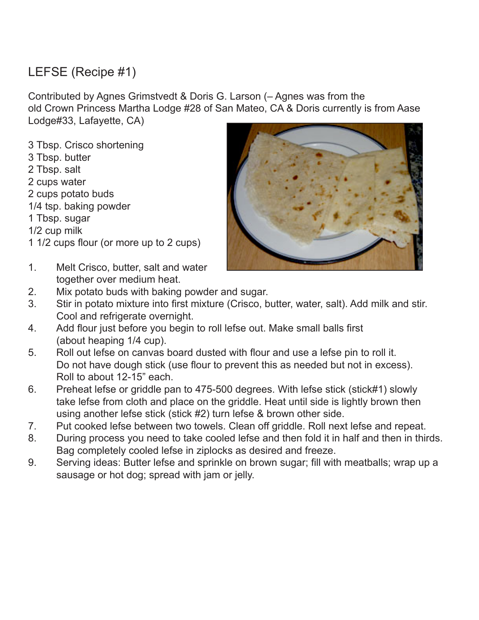# LEFSE (Recipe #1)

Contributed by Agnes Grimstvedt & Doris G. Larson (– Agnes was from the old Crown Princess Martha Lodge #28 of San Mateo, CA & Doris currently is from Aase Lodge#33, Lafayette, CA)

3 Tbsp. Crisco shortening 3 Tbsp. butter 2 Tbsp. salt 2 cups water 2 cups potato buds 1/4 tsp. baking powder 1 Tbsp. sugar 1/2 cup milk 1 1/2 cups flour (or more up to 2 cups)



- 1. Melt Crisco, butter, salt and water together over medium heat.
- 2. Mix potato buds with baking powder and sugar.
- 3. Stir in potato mixture into first mixture (Crisco, butter, water, salt). Add milk and stir. Cool and refrigerate overnight.
- 4. Add flour just before you begin to roll lefse out. Make small balls first (about heaping 1/4 cup).
- 5. Roll out lefse on canvas board dusted with flour and use a lefse pin to roll it. Do not have dough stick (use flour to prevent this as needed but not in excess). Roll to about 12-15" each.
- 6. Preheat lefse or griddle pan to 475-500 degrees. With lefse stick (stick#1) slowly take lefse from cloth and place on the griddle. Heat until side is lightly brown then using another lefse stick (stick #2) turn lefse & brown other side.
- 7. Put cooked lefse between two towels. Clean off griddle. Roll next lefse and repeat.
- 8. During process you need to take cooled lefse and then fold it in half and then in thirds. Bag completely cooled lefse in ziplocks as desired and freeze.
- 9. Serving ideas: Butter lefse and sprinkle on brown sugar; fill with meatballs; wrap up a sausage or hot dog; spread with jam or jelly.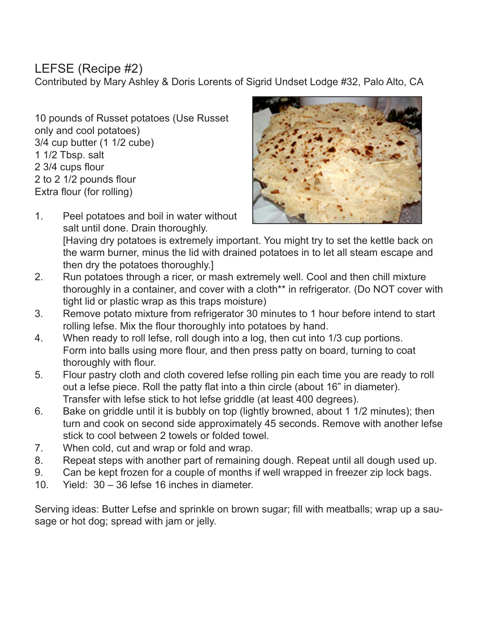#### LEFSE (Recipe #2)

Contributed by Mary Ashley & Doris Lorents of Sigrid Undset Lodge #32, Palo Alto, CA

10 pounds of Russet potatoes (Use Russet only and cool potatoes) 3/4 cup butter (1 1/2 cube) 1 1/2 Tbsp. salt 2 3/4 cups flour 2 to 2 1/2 pounds flour Extra flour (for rolling)



- 1. Peel potatoes and boil in water without salt until done. Drain thoroughly. [Having dry potatoes is extremely important. You might try to set the kettle back on the warm burner, minus the lid with drained potatoes in to let all steam escape and then dry the potatoes thoroughly.]
- 2. Run potatoes through a ricer, or mash extremely well. Cool and then chill mixture thoroughly in a container, and cover with a cloth\*\* in refrigerator. (Do NOT cover with tight lid or plastic wrap as this traps moisture)
- 3. Remove potato mixture from refrigerator 30 minutes to 1 hour before intend to start rolling lefse. Mix the flour thoroughly into potatoes by hand.
- 4. When ready to roll lefse, roll dough into a log, then cut into 1/3 cup portions. Form into balls using more flour, and then press patty on board, turning to coat thoroughly with flour.
- 5. Flour pastry cloth and cloth covered lefse rolling pin each time you are ready to roll out a lefse piece. Roll the patty flat into a thin circle (about 16" in diameter). Transfer with lefse stick to hot lefse griddle (at least 400 degrees).
- 6. Bake on griddle until it is bubbly on top (lightly browned, about 1 1/2 minutes); then turn and cook on second side approximately 45 seconds. Remove with another lefse stick to cool between 2 towels or folded towel.
- 7. When cold, cut and wrap or fold and wrap.
- 8. Repeat steps with another part of remaining dough. Repeat until all dough used up.
- 9. Can be kept frozen for a couple of months if well wrapped in freezer zip lock bags.
- 10. Yield: 30 36 lefse 16 inches in diameter.

Serving ideas: Butter Lefse and sprinkle on brown sugar; fill with meatballs; wrap up a sausage or hot dog; spread with jam or jelly.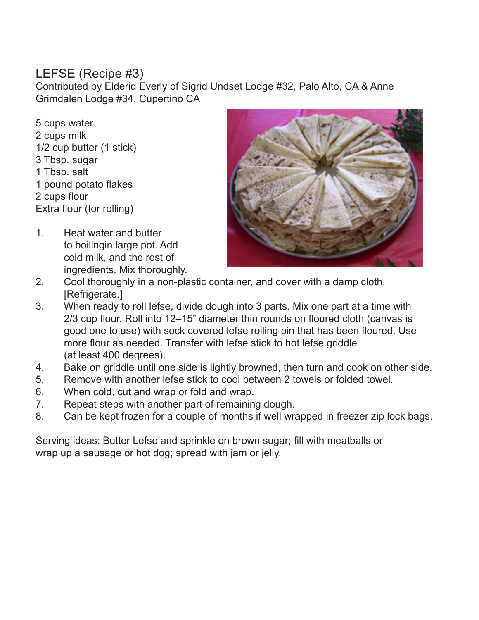## LEFSE (Recipe #3)

Contributed by Elderid Everly of Sigrid Undset Lodge #32, Palo Alto, CA & Anne Grimdalen Lodge #34, Cupertino CA

5 cups water 2 cups milk 1/2 cup butter (1 stick) 3 Tbsp. sugar 1 Tbsp. salt 1 pound potato flakes 2 cups flour Extra flour (for rolling)

1. Heat water and butter to boilingin large pot. Add cold milk, and the rest of ingredients. Mix thoroughly.



- 2. Cool thoroughly in a non-plastic container, and cover with a damp cloth. [Refrigerate.]
- 3. When ready to roll lefse, divide dough into 3 parts. Mix one part at a time with 2/3 cup flour. Roll into 12–15" diameter thin rounds on floured cloth (canvas is good one to use) with sock covered lefse rolling pin that has been floured. Use more flour as needed. Transfer with lefse stick to hot lefse griddle (at least 400 degrees).
- 4. Bake on griddle until one side is lightly browned, then turn and cook on other side.
- 5. Remove with another lefse stick to cool between 2 towels or folded towel.
- 6. When cold, cut and wrap or fold and wrap.
- 7. Repeat steps with another part of remaining dough.
- 8. Can be kept frozen for a couple of months if well wrapped in freezer zip lock bags.

Serving ideas: Butter Lefse and sprinkle on brown sugar; fill with meatballs or wrap up a sausage or hot dog; spread with jam or jelly.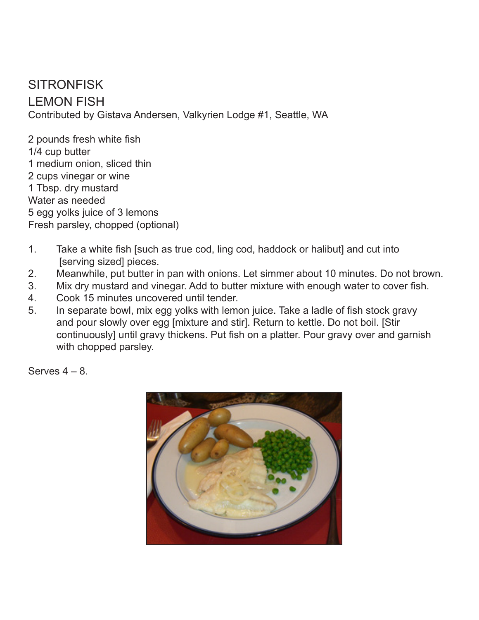**SITRONFISK** LEMON FISH Contributed by Gistava Andersen, Valkyrien Lodge #1, Seattle, WA

2 pounds fresh white fish 1/4 cup butter 1 medium onion, sliced thin 2 cups vinegar or wine 1 Tbsp. dry mustard Water as needed 5 egg yolks juice of 3 lemons Fresh parsley, chopped (optional)

- 1. Take a white fish [such as true cod, ling cod, haddock or halibut] and cut into [serving sized] pieces.
- 2. Meanwhile, put butter in pan with onions. Let simmer about 10 minutes. Do not brown.
- 3. Mix dry mustard and vinegar. Add to butter mixture with enough water to cover fish.
- 4. Cook 15 minutes uncovered until tender.
- 5. In separate bowl, mix egg yolks with lemon juice. Take a ladle of fish stock gravy and pour slowly over egg [mixture and stir]. Return to kettle. Do not boil. [Stir continuously] until gravy thickens. Put fish on a platter. Pour gravy over and garnish with chopped parsley.

Serves  $4 - 8$ .

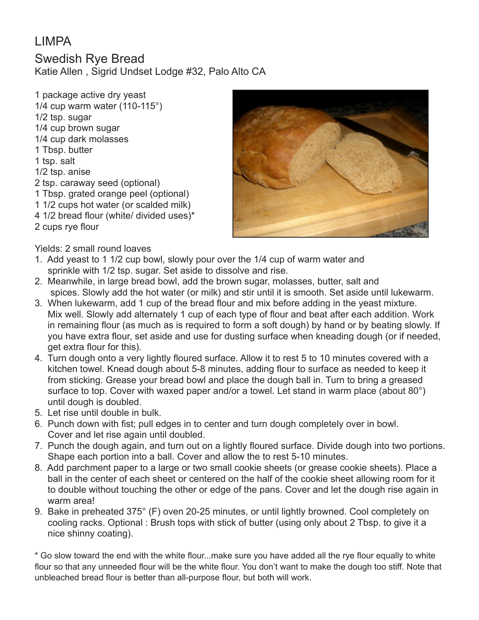## LIMPA

Swedish Rye Bread Katie Allen , Sigrid Undset Lodge #32, Palo Alto CA

1 package active dry yeast 1/4 cup warm water (110-115°) 1/2 tsp. sugar 1/4 cup brown sugar 1/4 cup dark molasses 1 Tbsp. butter 1 tsp. salt 1/2 tsp. anise 2 tsp. caraway seed (optional) 1 Tbsp. grated orange peel (optional) 1 1/2 cups hot water (or scalded milk) 4 1/2 bread flour (white/ divided uses)\* 2 cups rye flour



Yields: 2 small round loaves

- 1. Add yeast to 1 1/2 cup bowl, slowly pour over the 1/4 cup of warm water and sprinkle with 1/2 tsp. sugar. Set aside to dissolve and rise.
- 2. Meanwhile, in large bread bowl, add the brown sugar, molasses, butter, salt and spices. Slowly add the hot water (or milk) and stir until it is smooth. Set aside until lukewarm.
- 3. When lukewarm, add 1 cup of the bread flour and mix before adding in the yeast mixture. Mix well. Slowly add alternately 1 cup of each type of flour and beat after each addition. Work in remaining flour (as much as is required to form a soft dough) by hand or by beating slowly. If you have extra flour, set aside and use for dusting surface when kneading dough (or if needed, get extra flour for this).
- 4. Turn dough onto a very lightly floured surface. Allow it to rest 5 to 10 minutes covered with a kitchen towel. Knead dough about 5-8 minutes, adding flour to surface as needed to keep it from sticking. Grease your bread bowl and place the dough ball in. Turn to bring a greased surface to top. Cover with waxed paper and/or a towel. Let stand in warm place (about 80°) until dough is doubled.
- 5. Let rise until double in bulk.
- 6. Punch down with fist; pull edges in to center and turn dough completely over in bowl. Cover and let rise again until doubled.
- 7. Punch the dough again, and turn out on a lightly floured surface. Divide dough into two portions. Shape each portion into a ball. Cover and allow the to rest 5-10 minutes.
- 8. Add parchment paper to a large or two small cookie sheets (or grease cookie sheets). Place a ball in the center of each sheet or centered on the half of the cookie sheet allowing room for it to double without touching the other or edge of the pans. Cover and let the dough rise again in warm area!
- 9. Bake in preheated 375° (F) oven 20-25 minutes, or until lightly browned. Cool completely on cooling racks. Optional : Brush tops with stick of butter (using only about 2 Tbsp. to give it a nice shinny coating).

\* Go slow toward the end with the white flour...make sure you have added all the rye flour equally to white flour so that any unneeded flour will be the white flour. You don't want to make the dough too stiff. Note that unbleached bread flour is better than all-purpose flour, but both will work.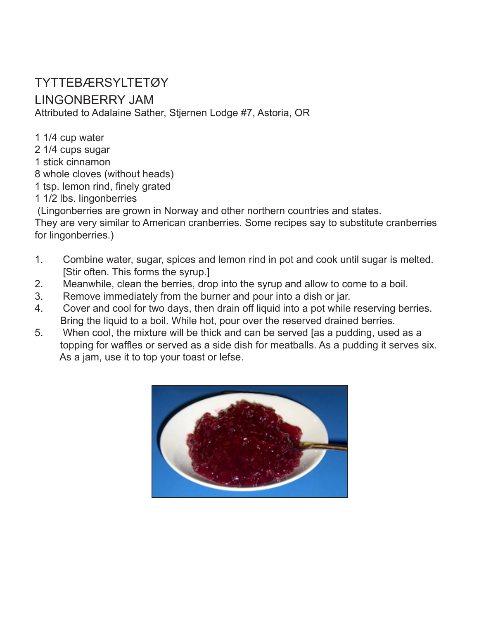# TYTTEBÆRSYLTETØY

#### LINGONBERRY JAM

Attributed to Adalaine Sather, Stjernen Lodge #7, Astoria, OR

1 1/4 cup water

- 2 1/4 cups sugar
- 1 stick cinnamon
- 8 whole cloves (without heads)
- 1 tsp. lemon rind, finely grated
- 1 1/2 lbs. lingonberries

(Lingonberries are grown in Norway and other northern countries and states.

They are very similar to American cranberries. Some recipes say to substitute cranberries for lingonberries.)

- 1. Combine water, sugar, spices and lemon rind in pot and cook until sugar is melted. [Stir often. This forms the syrup.]
- 2. Meanwhile, clean the berries, drop into the syrup and allow to come to a boil.
- 3. Remove immediately from the burner and pour into a dish or jar.
- 4. Cover and cool for two days, then drain off liquid into a pot while reserving berries. Bring the liquid to a boil. While hot, pour over the reserved drained berries.
- 5. When cool, the mixture will be thick and can be served [as a pudding, used as a topping for waffles or served as a side dish for meatballs. As a pudding it serves six. As a jam, use it to top your toast or lefse.

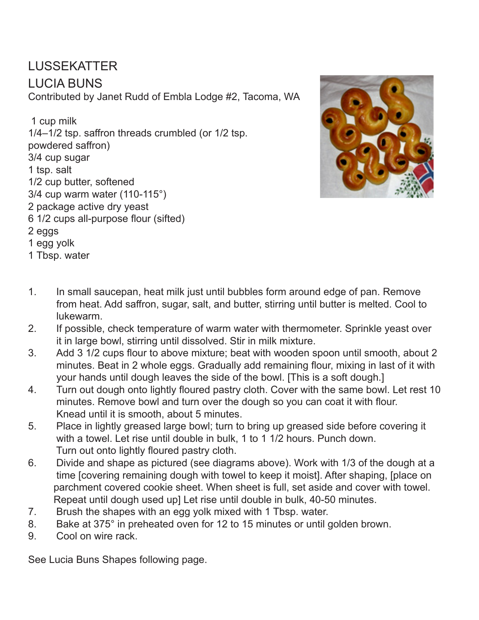#### LUSSEKATTER LUCIA BUNS Contributed by Janet Rudd of Embla Lodge #2, Tacoma, WA

 1 cup milk 1/4–1/2 tsp. saffron threads crumbled (or 1/2 tsp. powdered saffron) 3/4 cup sugar 1 tsp. salt 1/2 cup butter, softened 3/4 cup warm water (110-115°) 2 package active dry yeast 6 1/2 cups all-purpose flour (sifted) 2 eggs 1 egg yolk 1 Tbsp. water



- 1. In small saucepan, heat milk just until bubbles form around edge of pan. Remove from heat. Add saffron, sugar, salt, and butter, stirring until butter is melted. Cool to lukewarm.
- 2. If possible, check temperature of warm water with thermometer. Sprinkle yeast over it in large bowl, stirring until dissolved. Stir in milk mixture.
- 3. Add 3 1/2 cups flour to above mixture; beat with wooden spoon until smooth, about 2 minutes. Beat in 2 whole eggs. Gradually add remaining flour, mixing in last of it with your hands until dough leaves the side of the bowl. [This is a soft dough.]
- 4. Turn out dough onto lightly floured pastry cloth. Cover with the same bowl. Let rest 10 minutes. Remove bowl and turn over the dough so you can coat it with flour. Knead until it is smooth, about 5 minutes.
- 5. Place in lightly greased large bowl; turn to bring up greased side before covering it with a towel. Let rise until double in bulk, 1 to 1 1/2 hours. Punch down. Turn out onto lightly floured pastry cloth.
- 6. Divide and shape as pictured (see diagrams above). Work with 1/3 of the dough at a time [covering remaining dough with towel to keep it moist]. After shaping, [place on parchment covered cookie sheet. When sheet is full, set aside and cover with towel. Repeat until dough used up] Let rise until double in bulk, 40-50 minutes.
- 7. Brush the shapes with an egg yolk mixed with 1 Tbsp. water.
- 8. Bake at 375° in preheated oven for 12 to 15 minutes or until golden brown.
- 9. Cool on wire rack.

See Lucia Buns Shapes following page.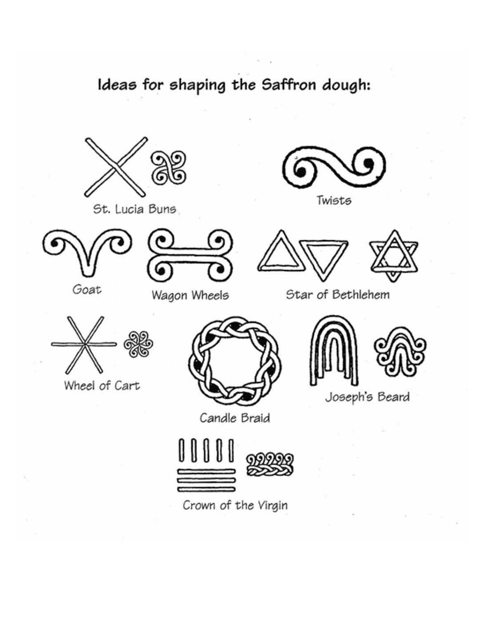# Ideas for shaping the Saffron dough:



St. Lucia Buns





Wagon Wheels



Twists





Star of Bethlehem



Wheel of Cart



Candle Braid





Joseph's Beard



Crown of the Virgin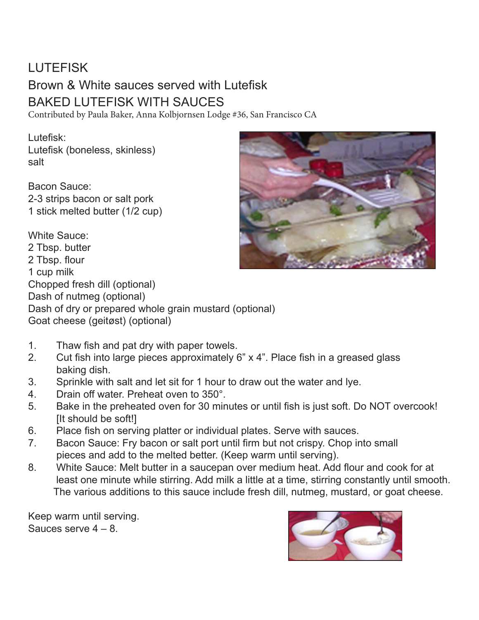# LUTEFISK Brown & White sauces served with Lutefisk BAKED LUTEFISK WITH SAUCES

Contributed by Paula Baker, Anna Kolbjornsen Lodge #36, San Francisco CA

Lutefisk: Lutefisk (boneless, skinless) salt

Bacon Sauce: 2-3 strips bacon or salt pork 1 stick melted butter (1/2 cup)



White Sauce:

2 Tbsp. butter 2 Tbsp. flour 1 cup milk Chopped fresh dill (optional) Dash of nutmeg (optional) Dash of dry or prepared whole grain mustard (optional) Goat cheese (geitøst) (optional)

- 1. Thaw fish and pat dry with paper towels.
- 2. Cut fish into large pieces approximately 6" x 4". Place fish in a greased glass baking dish.
- 3. Sprinkle with salt and let sit for 1 hour to draw out the water and lye.
- 4. Drain off water. Preheat oven to 350°.
- 5. Bake in the preheated oven for 30 minutes or until fish is just soft. Do NOT overcook! [It should be soft!]
- 6. Place fish on serving platter or individual plates. Serve with sauces.
- 7. Bacon Sauce: Fry bacon or salt port until firm but not crispy. Chop into small pieces and add to the melted better. (Keep warm until serving).
- 8. White Sauce: Melt butter in a saucepan over medium heat. Add flour and cook for at least one minute while stirring. Add milk a little at a time, stirring constantly until smooth. The various additions to this sauce include fresh dill, nutmeg, mustard, or goat cheese.

Keep warm until serving. Sauces serve  $4 - 8$ .

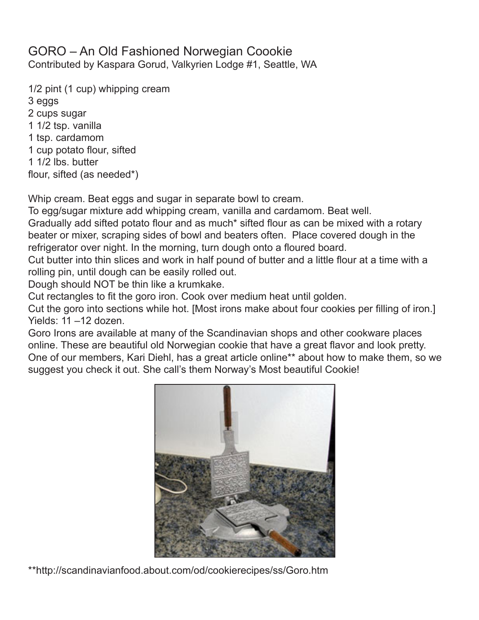#### GORO – An Old Fashioned Norwegian Coookie Contributed by Kaspara Gorud, Valkyrien Lodge #1, Seattle, WA

1/2 pint (1 cup) whipping cream 3 eggs 2 cups sugar 1 1/2 tsp. vanilla 1 tsp. cardamom 1 cup potato flour, sifted 1 1/2 lbs. butter flour, sifted (as needed\*)

Whip cream. Beat eggs and sugar in separate bowl to cream.

To egg/sugar mixture add whipping cream, vanilla and cardamom. Beat well. Gradually add sifted potato flour and as much\* sifted flour as can be mixed with a rotary beater or mixer, scraping sides of bowl and beaters often. Place covered dough in the refrigerator over night. In the morning, turn dough onto a floured board.

Cut butter into thin slices and work in half pound of butter and a little flour at a time with a rolling pin, until dough can be easily rolled out.

Dough should NOT be thin like a krumkake.

Cut rectangles to fit the goro iron. Cook over medium heat until golden.

Cut the goro into sections while hot. [Most irons make about four cookies per filling of iron.] Yields: 11 –12 dozen.

Goro Irons are available at many of the Scandinavian shops and other cookware places online. These are beautiful old Norwegian cookie that have a great flavor and look pretty. One of our members, Kari Diehl, has a great article online\*\* about how to make them, so we suggest you check it out. She call's them Norway's Most beautiful Cookie!



\*\*http://scandinavianfood.about.com/od/cookierecipes/ss/Goro.htm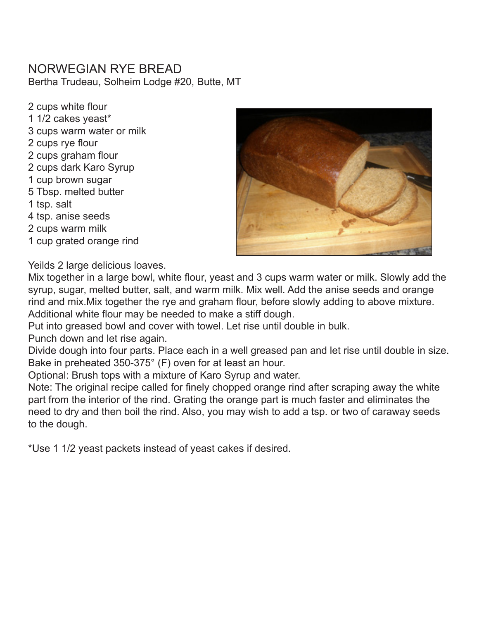#### NORWEGIAN RYE BREAD

Bertha Trudeau, Solheim Lodge #20, Butte, MT

2 cups white flour 1 1/2 cakes yeast\* 3 cups warm water or milk 2 cups rye flour 2 cups graham flour 2 cups dark Karo Syrup 1 cup brown sugar 5 Tbsp. melted butter 1 tsp. salt 4 tsp. anise seeds 2 cups warm milk 1 cup grated orange rind



Yeilds 2 large delicious loaves.

Mix together in a large bowl, white flour, yeast and 3 cups warm water or milk. Slowly add the syrup, sugar, melted butter, salt, and warm milk. Mix well. Add the anise seeds and orange rind and mix.Mix together the rye and graham flour, before slowly adding to above mixture. Additional white flour may be needed to make a stiff dough.

Put into greased bowl and cover with towel. Let rise until double in bulk.

Punch down and let rise again.

Divide dough into four parts. Place each in a well greased pan and let rise until double in size. Bake in preheated 350-375° (F) oven for at least an hour.

Optional: Brush tops with a mixture of Karo Syrup and water.

Note: The original recipe called for finely chopped orange rind after scraping away the white part from the interior of the rind. Grating the orange part is much faster and eliminates the need to dry and then boil the rind. Also, you may wish to add a tsp. or two of caraway seeds to the dough.

\*Use 1 1/2 yeast packets instead of yeast cakes if desired.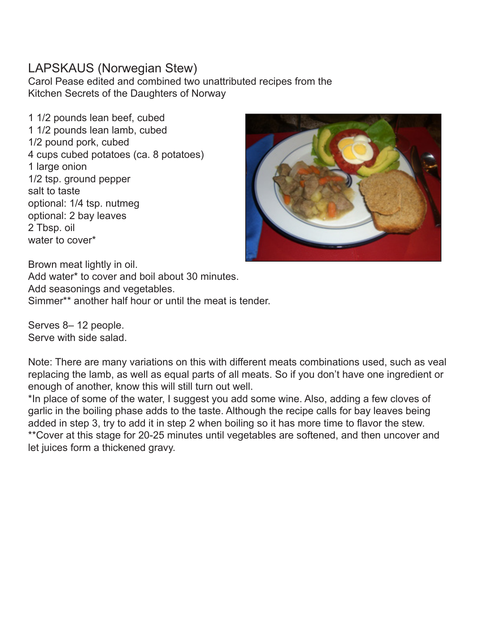#### LAPSKAUS (Norwegian Stew)

Carol Pease edited and combined two unattributed recipes from the Kitchen Secrets of the Daughters of Norway

1 1/2 pounds lean beef, cubed 1 1/2 pounds lean lamb, cubed 1/2 pound pork, cubed 4 cups cubed potatoes (ca. 8 potatoes) 1 large onion 1/2 tsp. ground pepper salt to taste optional: 1/4 tsp. nutmeg optional: 2 bay leaves 2 Tbsp. oil water to cover\*



Brown meat lightly in oil. Add water\* to cover and boil about 30 minutes. Add seasonings and vegetables. Simmer\*\* another half hour or until the meat is tender.

Serves 8– 12 people. Serve with side salad.

Note: There are many variations on this with different meats combinations used, such as veal replacing the lamb, as well as equal parts of all meats. So if you don't have one ingredient or enough of another, know this will still turn out well.

\*In place of some of the water, I suggest you add some wine. Also, adding a few cloves of garlic in the boiling phase adds to the taste. Although the recipe calls for bay leaves being added in step 3, try to add it in step 2 when boiling so it has more time to flavor the stew. \*\*Cover at this stage for 20-25 minutes until vegetables are softened, and then uncover and let juices form a thickened gravy.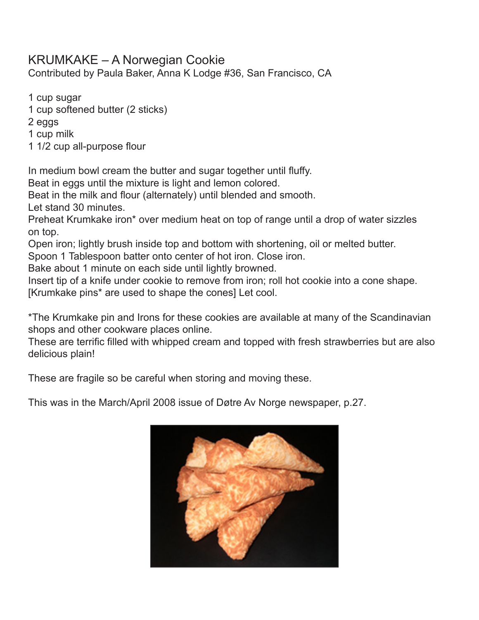#### KRUMKAKE – A Norwegian Cookie

Contributed by Paula Baker, Anna K Lodge #36, San Francisco, CA

1 cup sugar

1 cup softened butter (2 sticks)

2 eggs

1 cup milk

1 1/2 cup all-purpose flour

In medium bowl cream the butter and sugar together until fluffy.

Beat in eggs until the mixture is light and lemon colored.

Beat in the milk and flour (alternately) until blended and smooth.

Let stand 30 minutes.

Preheat Krumkake iron\* over medium heat on top of range until a drop of water sizzles on top.

Open iron; lightly brush inside top and bottom with shortening, oil or melted butter.

Spoon 1 Tablespoon batter onto center of hot iron. Close iron.

Bake about 1 minute on each side until lightly browned.

Insert tip of a knife under cookie to remove from iron; roll hot cookie into a cone shape.

[Krumkake pins\* are used to shape the cones] Let cool.

\*The Krumkake pin and Irons for these cookies are available at many of the Scandinavian shops and other cookware places online.

These are terrific filled with whipped cream and topped with fresh strawberries but are also delicious plain!

These are fragile so be careful when storing and moving these.

This was in the March/April 2008 issue of Døtre Av Norge newspaper, p.27.